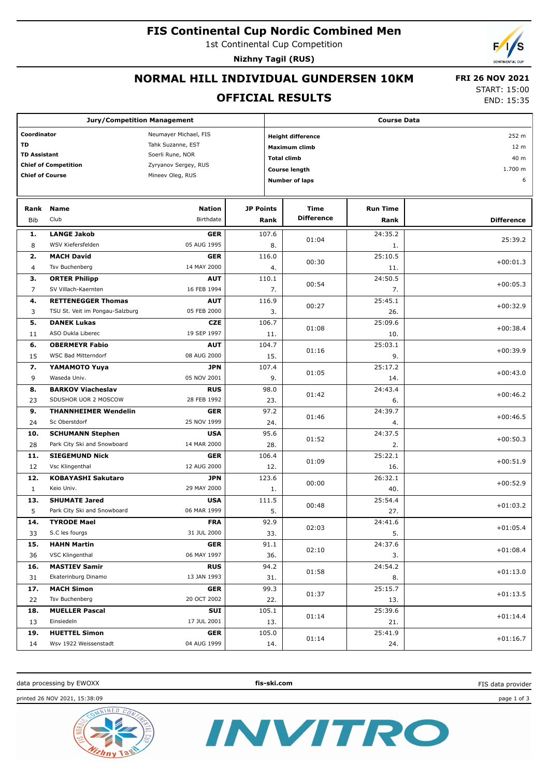### **FIS Continental Cup Nordic Combined Men**

1st Continental Cup Competition

**Nizhny Tagil (RUS)**

# **NORMAL HILL INDIVIDUAL GUNDERSEN 10KM**

#### **OFFICIAL RESULTS**

 **FRI 26 NOV 2021** START: 15:00

END: 15:35

| <b>Jury/Competition Management</b> |                                     |                           |                    | <b>Course Data</b>       |                       |                 |                   |  |
|------------------------------------|-------------------------------------|---------------------------|--------------------|--------------------------|-----------------------|-----------------|-------------------|--|
| Coordinator                        |                                     | Neumayer Michael, FIS     |                    | <b>Height difference</b> |                       |                 |                   |  |
| TD                                 |                                     | Tahk Suzanne, EST         |                    |                          | <b>Maximum climb</b>  |                 | 12 <sub>m</sub>   |  |
| <b>TD Assistant</b>                |                                     | Soerli Rune, NOR          | <b>Total climb</b> |                          |                       | 40 m            |                   |  |
|                                    | <b>Chief of Competition</b>         | Zyryanov Sergey, RUS      |                    |                          |                       |                 | 1.700 m           |  |
| <b>Chief of Course</b>             |                                     | Mineev Oleg, RUS          |                    | Course length            |                       |                 | 6                 |  |
|                                    |                                     |                           |                    |                          | <b>Number of laps</b> |                 |                   |  |
| Rank                               | <b>Name</b>                         | <b>Nation</b>             | <b>JP Points</b>   |                          | Time                  | <b>Run Time</b> |                   |  |
|                                    | Club                                | Birthdate                 |                    |                          | <b>Difference</b>     |                 |                   |  |
| <b>Bib</b>                         |                                     |                           |                    | Rank                     |                       | Rank            | <b>Difference</b> |  |
| 1.                                 | <b>LANGE Jakob</b>                  | <b>GER</b>                |                    | 107.6                    | 01:04                 | 24:35.2         | 25:39.2           |  |
| 8                                  | WSV Kiefersfelden                   | 05 AUG 1995               |                    | 8.                       |                       | 1.              |                   |  |
| 2.                                 | <b>MACH David</b>                   | <b>GER</b>                | 116.0              |                          | 00:30                 | 25:10.5         | $+00:01.3$        |  |
| 4                                  | Tsv Buchenberg                      | 14 MAY 2000               |                    | 4.                       |                       | 11.             |                   |  |
| з.                                 | <b>ORTER Philipp</b>                | <b>AUT</b>                | 110.1              |                          | 00:54                 | 24:50.5         | $+00:05.3$        |  |
| $\overline{7}$                     | SV Villach-Kaernten                 | 16 FEB 1994               |                    | 7.                       |                       | 7.              |                   |  |
| 4.                                 | <b>RETTENEGGER Thomas</b>           | <b>AUT</b>                |                    | 116.9                    | 00:27                 | 25:45.1         | $+00:32.9$        |  |
| 3                                  | TSU St. Veit im Pongau-Salzburg     | 05 FEB 2000               |                    | 3.                       |                       | 26.             |                   |  |
| 5.                                 | <b>DANEK Lukas</b>                  | <b>CZE</b>                |                    | 106.7                    |                       | 25:09.6         |                   |  |
| 11                                 | ASO Dukla Liberec                   | 19 SEP 1997               |                    | 11.                      | 01:08                 | 10.             | $+00:38.4$        |  |
| 6.                                 | <b>OBERMEYR Fabio</b>               | <b>AUT</b>                |                    | 104.7                    |                       | 25:03.1         |                   |  |
| 15                                 | WSC Bad Mitterndorf                 | 08 AUG 2000               |                    | 15.                      | 01:16                 | 9.              | $+00:39.9$        |  |
| 7.                                 | YAMAMOTO Yuya                       | <b>JPN</b>                |                    | 107.4                    |                       | 25:17.2         |                   |  |
| 9                                  | Waseda Univ.                        | 05 NOV 2001               |                    | 9.                       | 01:05                 | 14.             | $+00:43.0$        |  |
| 8.                                 | <b>BARKOV Viacheslav</b>            | <b>RUS</b>                |                    | 98.0                     |                       | 24:43.4         |                   |  |
| 23                                 | SDUSHOR UOR 2 MOSCOW                | 28 FEB 1992               |                    | 23.                      | 01:42                 | 6.              | $+00:46.2$        |  |
| 9.                                 | <b>THANNHEIMER Wendelin</b>         | <b>GER</b>                |                    | 97.2                     |                       | 24:39.7         |                   |  |
| 24                                 | Sc Oberstdorf                       | 25 NOV 1999               |                    | 24.                      | 01:46                 | 4.              | $+00:46.5$        |  |
| 10.                                | <b>SCHUMANN Stephen</b>             | <b>USA</b>                |                    | 95.6                     |                       | 24:37.5         |                   |  |
| 28                                 | Park City Ski and Snowboard         | 14 MAR 2000               |                    | 28.                      | 01:52                 | 2.              | $+00:50.3$        |  |
| 11.                                | <b>SIEGEMUND Nick</b>               | <b>GER</b>                |                    | 106.4                    |                       | 25:22.1         |                   |  |
| 12                                 | Vsc Klingenthal                     | 12 AUG 2000               |                    | 12.                      | 01:09                 | 16.             | $+00:51.9$        |  |
| 12.                                | <b>KOBAYASHI Sakutaro</b>           | <b>JPN</b>                | 123.6              |                          |                       | 26:32.1         |                   |  |
| $\mathbf{1}$                       | Keio Univ.                          | 29 MAY 2000               |                    | 1.                       | 00:00                 | 40.             | $+00:52.9$        |  |
| 13.                                | <b>SHUMATE Jared</b>                | <b>USA</b>                |                    | 111.5                    |                       | 25:54.4         |                   |  |
| 5                                  | Park City Ski and Snowboard         | 06 MAR 1999               |                    | 5.                       | 00:48                 | 27.             | $+01:03.2$        |  |
| 14.                                | <b>TYRODE Mael</b>                  | <b>FRA</b>                |                    | 92.9                     |                       | 24:41.6         |                   |  |
| 33                                 | S.C les fourgs                      | 31 JUL 2000               |                    | 33.                      | 02:03                 | 5.              | $+01:05.4$        |  |
| 15.                                | <b>HAHN Martin</b>                  | <b>GER</b>                |                    | 91.1                     |                       | 24:37.6         |                   |  |
| 36                                 | VSC Klingenthal                     | 06 MAY 1997               |                    | 36.                      | 02:10                 | 3.              | $+01:08.4$        |  |
| 16.                                | <b>MASTIEV Samir</b>                | <b>RUS</b>                |                    | 94.2                     |                       | 24:54.2         |                   |  |
| 31                                 | Ekaterinburg Dinamo                 | 13 JAN 1993               |                    | 31.                      | 01:58                 | 8.              | $+01:13.0$        |  |
|                                    |                                     |                           |                    | 99.3                     |                       |                 |                   |  |
| 17.                                | <b>MACH Simon</b><br>Tsv Buchenberg | <b>GER</b><br>20 OCT 2002 |                    |                          | 01:37                 | 25:15.7         | $+01:13.5$        |  |
| 22                                 |                                     |                           |                    | 22.                      |                       | 13.             |                   |  |
| 18.                                | <b>MUELLER Pascal</b>               | SUI                       |                    | 105.1                    | 01:14                 | 25:39.6         | $+01:14.4$        |  |
| 13                                 | Einsiedeln                          | 17 JUL 2001               |                    | 13.                      |                       | 21.             |                   |  |
| 19.                                | <b>HUETTEL Simon</b>                | <b>GER</b>                |                    | 105.0                    | 01:14                 | 25:41.9         | $+01:16.7$        |  |
| 14                                 | Wsv 1922 Weissenstadt               | 04 AUG 1999               |                    | 14.                      |                       | 24.             |                   |  |

data processing by EWOXX **fis-ski.com**

INVITRO

FIS data provider

printed 26 NOV 2021, 15:38:09 page 1 of 3

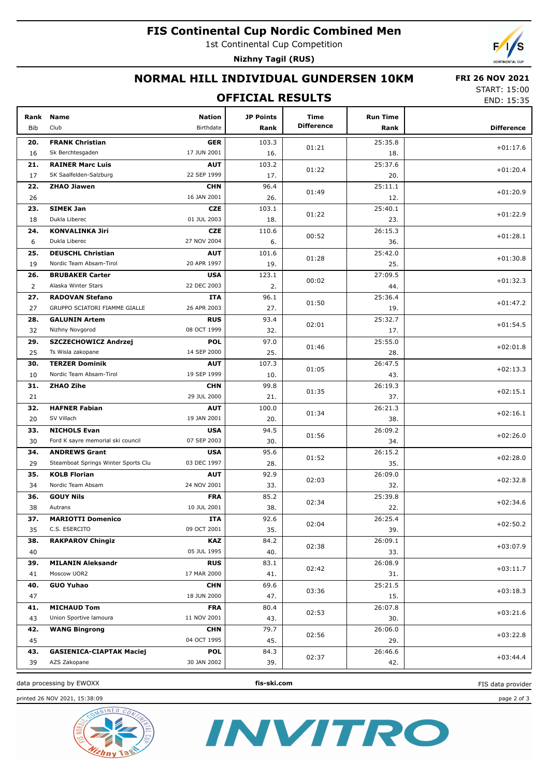## **FIS Continental Cup Nordic Combined Men**

1st Continental Cup Competition

**Nizhny Tagil (RUS)**

# **NORMAL HILL INDIVIDUAL GUNDERSEN 10KM**

#### **FRI 26 NOV 2021**

## **OFFICIAL RESULTS**

START: 15:00 END: 15:35

| Rank<br>Bib | <b>Name</b><br>Club                               | <b>Nation</b><br>Birthdate | <b>JP Points</b><br>Rank | Time<br><b>Difference</b> | <b>Run Time</b><br>Rank | <b>Difference</b> |
|-------------|---------------------------------------------------|----------------------------|--------------------------|---------------------------|-------------------------|-------------------|
|             |                                                   |                            |                          |                           |                         |                   |
| 20.         | <b>FRANK Christian</b>                            | <b>GER</b><br>17 JUN 2001  | 103.3                    | 01:21                     | 25:35.8                 | $+01:17.6$        |
| 16          | Sk Berchtesgaden                                  |                            | 16.                      |                           | 18.                     |                   |
| 21.         | <b>RAINER Marc Luis</b><br>SK Saalfelden-Salzburg | <b>AUT</b><br>22 SEP 1999  | 103.2                    | 01:22                     | 25:37.6                 | $+01:20.4$        |
| 17<br>22.   | <b>ZHAO Jiawen</b>                                | <b>CHN</b>                 | 17.<br>96.4              |                           | 20.<br>25:11.1          |                   |
| 26          |                                                   | 16 JAN 2001                | 26.                      | 01:49                     | 12.                     | $+01:20.9$        |
| 23.         | <b>SIMEK Jan</b>                                  | <b>CZE</b>                 | 103.1                    |                           | 25:40.1                 |                   |
| 18          | Dukla Liberec                                     | 01 JUL 2003                | 18.                      | 01:22                     | 23.                     | $+01:22.9$        |
| 24.         | <b>KONVALINKA Jiri</b>                            | <b>CZE</b>                 | 110.6                    |                           | 26:15.3                 |                   |
| 6           | Dukla Liberec                                     | 27 NOV 2004                | 6.                       | 00:52                     | 36.                     | $+01:28.1$        |
| 25.         | <b>DEUSCHL Christian</b>                          | <b>AUT</b>                 | 101.6                    |                           | 25:42.0                 |                   |
| 19          | Nordic Team Absam-Tirol                           | 20 APR 1997                | 19.                      | 01:28                     | 25.                     | $+01:30.8$        |
| 26.         | <b>BRUBAKER Carter</b>                            | <b>USA</b>                 | 123.1                    |                           | 27:09.5                 |                   |
| 2           | Alaska Winter Stars                               | 22 DEC 2003                | 2.                       | 00:02                     | 44.                     | $+01:32.3$        |
| 27.         | <b>RADOVAN Stefano</b>                            | <b>ITA</b>                 | 96.1                     |                           | 25:36.4                 |                   |
| 27          | GRUPPO SCIATORI FIAMME GIALLE                     | 26 APR 2003                | 27.                      | 01:50                     | 19.                     | $+01:47.2$        |
| 28.         | <b>GALUNIN Artem</b>                              | <b>RUS</b>                 | 93.4                     |                           | 25:32.7                 |                   |
| 32          | Nizhny Novgorod                                   | 08 OCT 1999                | 32.                      | 02:01                     | 17.                     | $+01:54.5$        |
| 29.         | SZCZECHOWICZ Andrzej                              | <b>POL</b>                 | 97.0                     |                           | 25:55.0                 |                   |
| 25          | Ts Wisla zakopane                                 | 14 SEP 2000                | 25.                      | 01:46                     | 28.                     | $+02:01.8$        |
| 30.         | <b>TERZER Dominik</b>                             | <b>AUT</b>                 | 107.3                    |                           | 26:47.5                 |                   |
| 10          | Nordic Team Absam-Tirol                           | 19 SEP 1999                | 10.                      | 01:05                     | 43.                     | $+02:13.3$        |
| 31.         | <b>ZHAO Zihe</b>                                  | <b>CHN</b>                 | 99.8                     |                           | 26:19.3                 |                   |
| 21          |                                                   | 29 JUL 2000                | 21.                      | 01:35                     | 37.                     | $+02:15.1$        |
| 32.         | <b>HAFNER Fabian</b>                              | <b>AUT</b>                 | 100.0                    |                           | 26:21.3                 |                   |
| 20          | SV Villach                                        | 19 JAN 2001                | 20.                      | 01:34                     | 38.                     | $+02:16.1$        |
| 33.         | <b>NICHOLS Evan</b>                               | <b>USA</b>                 | 94.5                     |                           | 26:09.2                 |                   |
| 30          | Ford K sayre memorial ski council                 | 07 SEP 2003                | 30.                      | 01:56                     | 34.                     | $+02:26.0$        |
| 34.         | <b>ANDREWS Grant</b>                              | <b>USA</b>                 | 95.6                     |                           | 26:15.2                 |                   |
| 29          | Steamboat Springs Winter Sports Clu               | 03 DEC 1997                | 28.                      | 01:52                     | 35.                     | $+02:28.0$        |
| 35.         | <b>KOLB Florian</b>                               | <b>AUT</b>                 | 92.9                     |                           | 26:09.0                 |                   |
| 34          | Nordic Team Absam                                 | 24 NOV 2001                | 33.                      | 02:03                     | 32.                     | $+02:32.8$        |
| 36.         | <b>GOUY Nils</b>                                  | <b>FRA</b>                 | 85.2                     |                           | 25:39.8                 |                   |
| 38          | Autrans                                           | 10 JUL 2001                | 38.                      | 02:34                     | 22.                     | $+02:34.6$        |
| 37.         | <b>MARIOTTI Domenico</b>                          | <b>ITA</b>                 | 92.6                     |                           | 26:25.4                 |                   |
| 35          | C.S. ESERCITO                                     | 09 OCT 2001                | 35.                      | 02:04                     | 39.                     | $+02:50.2$        |
| 38.         | <b>RAKPAROV Chingiz</b>                           | <b>KAZ</b>                 | 84.2                     |                           | 26:09.1                 |                   |
| 40          |                                                   | 05 JUL 1995                | 40.                      | 02:38                     | 33.                     | $+03:07.9$        |
| 39.         | <b>MILANIN Aleksandr</b>                          | <b>RUS</b>                 | 83.1                     |                           | 26:08.9                 |                   |
| 41          | Moscow UOR2                                       | 17 MAR 2000                | 41.                      | 02:42                     | 31.                     | $+03:11.7$        |
| 40.         | <b>GUO Yuhao</b>                                  | <b>CHN</b>                 | 69.6                     |                           | 25:21.5                 | $+03:18.3$        |
| 47          |                                                   | 18 JUN 2000                | 47.                      | 03:36                     | 15.                     |                   |
| 41.         | <b>MICHAUD Tom</b>                                | <b>FRA</b>                 | 80.4                     |                           | 26:07.8                 | $+03:21.6$        |
| 43          | Union Sportive lamoura                            | 11 NOV 2001                | 43.                      | 02:53                     | 30.                     |                   |
| 42.         | <b>WANG Bingrong</b>                              | <b>CHN</b>                 | 79.7                     | 02:56                     | 26:06.0                 | $+03:22.8$        |
| 45          |                                                   | 04 OCT 1995                | 45.                      |                           | 29.                     |                   |
| 43.         | <b>GASIENICA-CIAPTAK Maciej</b>                   | <b>POL</b>                 | 84.3                     | 02:37                     | 26:46.6                 | $+03:44.4$        |
| 39          | AZS Zakopane                                      | 30 JAN 2002                | 39.                      |                           | 42.                     |                   |
|             |                                                   |                            |                          |                           |                         |                   |

data processing by EWOXX **fis-ski.com**

printed 26 NOV 2021, 15:38:09 page 2 of 3





FIS data provider